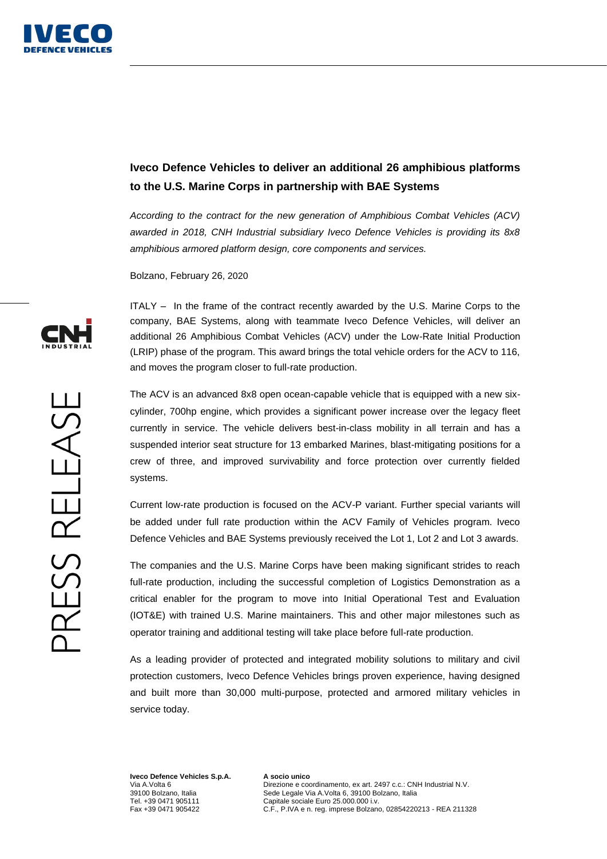

## **Iveco Defence Vehicles to deliver an additional 26 amphibious platforms to the U.S. Marine Corps in partnership with BAE Systems**

*According to the contract for the new generation of Amphibious Combat Vehicles (ACV) awarded in 2018, CNH Industrial subsidiary Iveco Defence Vehicles is providing its 8x8 amphibious armored platform design, core components and services.*

Bolzano, February 26, 2020

ITALY – In the frame of the contract recently awarded by the U.S. Marine Corps to the company, BAE Systems, along with teammate Iveco Defence Vehicles, will deliver an additional 26 Amphibious Combat Vehicles (ACV) under the Low-Rate Initial Production (LRIP) phase of the program. This award brings the total vehicle orders for the ACV to 116, and moves the program closer to full-rate production.

The ACV is an advanced 8x8 open ocean-capable vehicle that is equipped with a new sixcylinder, 700hp engine, which provides a significant power increase over the legacy fleet currently in service. The vehicle delivers best-in-class mobility in all terrain and has a suspended interior seat structure for 13 embarked Marines, blast-mitigating positions for a crew of three, and improved survivability and force protection over currently fielded systems.

Current low-rate production is focused on the ACV-P variant. Further special variants will be added under full rate production within the ACV Family of Vehicles program. Iveco Defence Vehicles and BAE Systems previously received the Lot 1, Lot 2 and Lot 3 awards.

The companies and the U.S. Marine Corps have been making significant strides to reach full-rate production, including the successful completion of Logistics Demonstration as a critical enabler for the program to move into Initial Operational Test and Evaluation (IOT&E) with trained U.S. Marine maintainers. This and other major milestones such as operator training and additional testing will take place before full-rate production.

As a leading provider of protected and integrated mobility solutions to military and civil protection customers, Iveco Defence Vehicles brings proven experience, having designed and built more than 30,000 multi-purpose, protected and armored military vehicles in service today.

**Iveco Defence Vehicles S.p.A.**  Via A Volta 6 39100 Bolzano, Italia Tel. +39 0471 905111 Fax +39 0471 905422

**A socio unico**  Direzione e coordinamento, ex art. 2497 c.c.: CNH Industrial N.V. Sede Legale Via A.Volta 6, 39100 Bolzano, Italia Capitale sociale Euro 25.000.000 i.v. C.F., P.IVA e n. reg. imprese Bolzano, 02854220213 - REA 211328